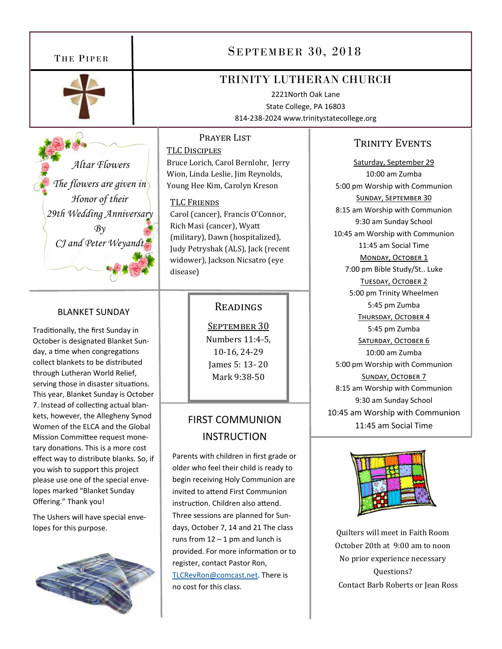

 *Altar Flowers The flowers are given in Honor of their 29th Wedding Anniversary By CJ and Peter Weyandt* 

#### BLANKET SUNDAY

Traditionally, the first Sunday in October is designated Blanket Sun‐ day, a time when congregations collect blankets to be distributed through Lutheran World Relief, serving those in disaster situations. This year, Blanket Sunday is October 7. Instead of collecting actual blankets, however, the Allegheny Synod Women of the ELCA and the Global Mission Committee request monetary donations. This is a more cost effect way to distribute blanks. So, if you wish to support this project please use one of the special enve‐ lopes marked "Blanket Sunday Offering." Thank you!

The Ushers will have special enve‐ lopes for this purpose.



# THE PIPER SEPTEMBER 30, 2018

# TRINITY LUTHERAN CHURCH

2221North Oak Lane State College, PA 16803 814‐238‐2024 www.trinitystatecollege.org

#### PRAYER LIST

TLC DISCIPLES Bruce Lorich, Carol Bernlohr, Jerry Wion, Linda Leslie, Jim Reynolds, Young Hee Kim, Carolyn Kreson

#### TLC FRIENDS

Carol (cancer), Francis O'Connor, Rich Masi (cancer), Wyatt (military), Dawn (hospitalized), Judy Petryshak (ALS), Jack (recent widower), Jackson Nicsatro (eye disease)

### READINGS

SEPTEMBER 30 Numbers 11:4-5, 10-16, 24-29 James 5: 13- 20 Mark 9:38-50

# FIRST COMMUNION **INSTRUCTION**

Parents with children in first grade or older who feel their child is ready to begin receiving Holy Communion are invited to attend First Communion instruction. Children also attend. Three sessions are planned for Sun‐ days, October 7, 14 and 21 The class runs from  $12 - 1$  pm and lunch is provided. For more information or to register, contact Pastor Ron, TLCRevRon@comcast.net. There is no cost for this class.

## TRINITY EVENTS

Saturday, September 29 10:00 am Zumba 5:00 pm Worship with Communion SUNDAY, SEPTEMBER 30 8:15 am Worship with Communion 9:30 am Sunday School 10:45 am Worship with Communion 11:45 am Social Time MONDAY, OCTOBER 1 7:00 pm Bible Study/St.. Luke TUESDAY, OCTOBER 2 5:00 pm Trinity Wheelmen 5:45 pm Zumba THURSDAY, OCTOBER 4 5:45 pm Zumba SATURDAY, OCTOBER 6 10:00 am Zumba 5:00 pm Worship with Communion SUNDAY, OCTOBER 7 8:15 am Worship with Communion 9:30 am Sunday School 10:45 am Worship with Communion 11:45 am Social Time



Quilters will meet in Faith Room October 20th at 9:00 am to noon No prior experience necessary Questions? Contact Barb Roberts or Jean Ross